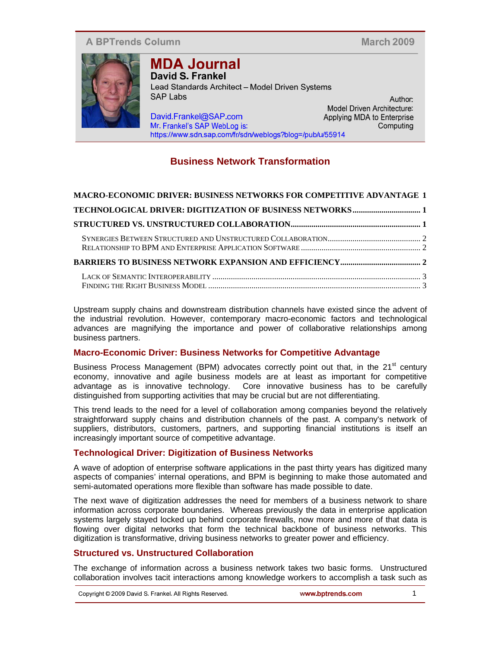## **A BPTrends Column**

**March 2009** 

Author:

Computing



## **MDA Journal** David S. Frankel

Lead Standards Architect - Model Driven Systems **SAP Labs** Model Driven Architecture: David.Frankel@SAP.com Applying MDA to Enterprise Mr. Frankel's SAP WebLog is: https://www.sdn.sap.com/fr/sdn/weblogs?blog=/pub/u/55914

# **Business Network Transformation**

| MACRO-ECONOMIC DRIVER: BUSINESS NETWORKS FOR COMPETITIVE ADVANTAGE 1 |  |
|----------------------------------------------------------------------|--|
|                                                                      |  |
|                                                                      |  |
|                                                                      |  |
|                                                                      |  |
|                                                                      |  |
|                                                                      |  |

Upstream supply chains and downstream distribution channels have existed since the advent of the industrial revolution. However, contemporary macro-economic factors and technological advances are magnifying the importance and power of collaborative relationships among business partners.

### **Macro-Economic Driver: Business Networks for Competitive Advantage**

Business Process Management (BPM) advocates correctly point out that, in the 21<sup>st</sup> century economy, innovative and agile business models are at least as important for competitive advantage as is innovative technology. Core innovative business has to be carefully distinguished from supporting activities that may be crucial but are not differentiating.

This trend leads to the need for a level of collaboration among companies beyond the relatively straightforward supply chains and distribution channels of the past. A company's network of suppliers, distributors, customers, partners, and supporting financial institutions is itself an increasingly important source of competitive advantage.

## **Technological Driver: Digitization of Business Networks**

A wave of adoption of enterprise software applications in the past thirty years has digitized many aspects of companies' internal operations, and BPM is beginning to make those automated and semi-automated operations more flexible than software has made possible to date.

The next wave of digitization addresses the need for members of a business network to share information across corporate boundaries. Whereas previously the data in enterprise application systems largely stayed locked up behind corporate firewalls, now more and more of that data is flowing over digital networks that form the technical backbone of business networks. This digitization is transformative, driving business networks to greater power and efficiency.

### **Structured vs. Unstructured Collaboration**

The exchange of information across a business network takes two basic forms. Unstructured collaboration involves tacit interactions among knowledge workers to accomplish a task such as

| Copyright © 2009 David S. Frankel. All Rights Reserved. | www.bptrends.com |
|---------------------------------------------------------|------------------|
|                                                         |                  |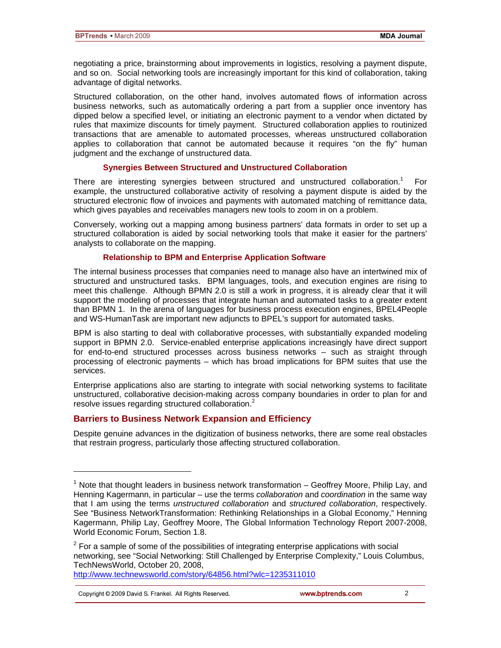negotiating a price, brainstorming about improvements in logistics, resolving a payment dispute, and so on. Social networking tools are increasingly important for this kind of collaboration, taking advantage of digital networks.

Structured collaboration, on the other hand, involves automated flows of information across business networks, such as automatically ordering a part from a supplier once inventory has dipped below a specified level, or initiating an electronic payment to a vendor when dictated by rules that maximize discounts for timely payment. Structured collaboration applies to routinized transactions that are amenable to automated processes, whereas unstructured collaboration applies to collaboration that cannot be automated because it requires "on the fly" human judgment and the exchange of unstructured data.

#### **Synergies Between Structured and Unstructured Collaboration**

There are interesting synergies between structured and unstructured collaboration.<sup>1</sup> For example, the unstructured collaborative activity of resolving a payment dispute is aided by the structured electronic flow of invoices and payments with automated matching of remittance data, which gives payables and receivables managers new tools to zoom in on a problem.

Conversely, working out a mapping among business partners' data formats in order to set up a structured collaboration is aided by social networking tools that make it easier for the partners' analysts to collaborate on the mapping.

#### **Relationship to BPM and Enterprise Application Software**

The internal business processes that companies need to manage also have an intertwined mix of structured and unstructured tasks. BPM languages, tools, and execution engines are rising to meet this challenge. Although BPMN 2.0 is still a work in progress, it is already clear that it will support the modeling of processes that integrate human and automated tasks to a greater extent than BPMN 1. In the arena of languages for business process execution engines, BPEL4People and WS-HumanTask are important new adjuncts to BPEL's support for automated tasks.

BPM is also starting to deal with collaborative processes, with substantially expanded modeling support in BPMN 2.0. Service-enabled enterprise applications increasingly have direct support for end-to-end structured processes across business networks – such as straight through processing of electronic payments – which has broad implications for BPM suites that use the services.

Enterprise applications also are starting to integrate with social networking systems to facilitate unstructured, collaborative decision-making across company boundaries in order to plan for and resolve issues regarding structured collaboration.<sup>2</sup>

### **Barriers to Business Network Expansion and Efficiency**

Despite genuine advances in the digitization of business networks, there are some real obstacles that restrain progress, particularly those affecting structured collaboration.

http://www.technewsworld.com/story/64856.html?wlc=1235311010

Copyright © 2009 David S. Frankel. All Rights Reserved.

l

 $1$  Note that thought leaders in business network transformation  $-$  Geoffrey Moore, Philip Lay, and Henning Kagermann, in particular – use the terms *collaboration* and *coordination* in the same way that I am using the terms *unstructured collaboration* and *structured collaboration*, respectively. See "Business NetworkTransformation: Rethinking Relationships in a Global Economy," Henning Kagermann, Philip Lay, Geoffrey Moore, The Global Information Technology Report 2007-2008, World Economic Forum, Section 1.8.

 $2$  For a sample of some of the possibilities of integrating enterprise applications with social networking, see "Social Networking: Still Challenged by Enterprise Complexity," Louis Columbus, TechNewsWorld, October 20, 2008,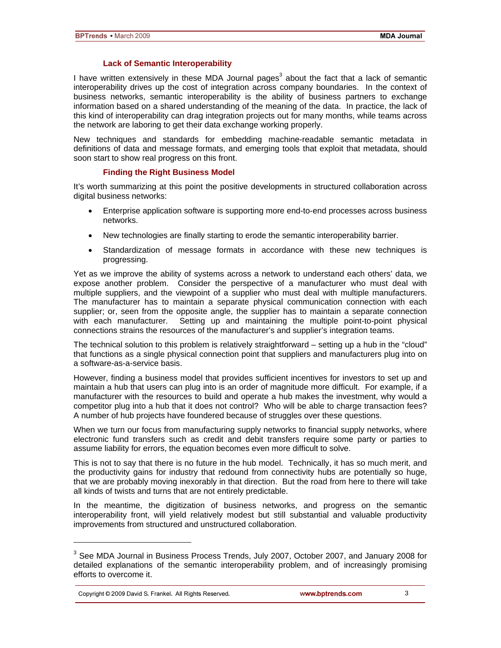#### **Lack of Semantic Interoperability**

I have written extensively in these MDA Journal pages<sup>3</sup> about the fact that a lack of semantic interoperability drives up the cost of integration across company boundaries. In the context of business networks, semantic interoperability is the ability of business partners to exchange information based on a shared understanding of the meaning of the data. In practice, the lack of this kind of interoperability can drag integration projects out for many months, while teams across the network are laboring to get their data exchange working properly.

New techniques and standards for embedding machine-readable semantic metadata in definitions of data and message formats, and emerging tools that exploit that metadata, should soon start to show real progress on this front.

#### **Finding the Right Business Model**

It's worth summarizing at this point the positive developments in structured collaboration across digital business networks:

- Enterprise application software is supporting more end-to-end processes across business networks.
- New technologies are finally starting to erode the semantic interoperability barrier.
- Standardization of message formats in accordance with these new techniques is progressing.

Yet as we improve the ability of systems across a network to understand each others' data, we expose another problem. Consider the perspective of a manufacturer who must deal with multiple suppliers, and the viewpoint of a supplier who must deal with multiple manufacturers. The manufacturer has to maintain a separate physical communication connection with each supplier; or, seen from the opposite angle, the supplier has to maintain a separate connection with each manufacturer. Setting up and maintaining the multiple point-to-point physical connections strains the resources of the manufacturer's and supplier's integration teams.

The technical solution to this problem is relatively straightforward – setting up a hub in the "cloud" that functions as a single physical connection point that suppliers and manufacturers plug into on a software-as-a-service basis.

However, finding a business model that provides sufficient incentives for investors to set up and maintain a hub that users can plug into is an order of magnitude more difficult. For example, if a manufacturer with the resources to build and operate a hub makes the investment, why would a competitor plug into a hub that it does not control? Who will be able to charge transaction fees? A number of hub projects have foundered because of struggles over these questions.

When we turn our focus from manufacturing supply networks to financial supply networks, where electronic fund transfers such as credit and debit transfers require some party or parties to assume liability for errors, the equation becomes even more difficult to solve.

This is not to say that there is no future in the hub model. Technically, it has so much merit, and the productivity gains for industry that redound from connectivity hubs are potentially so huge, that we are probably moving inexorably in that direction. But the road from here to there will take all kinds of twists and turns that are not entirely predictable.

In the meantime, the digitization of business networks, and progress on the semantic interoperability front, will yield relatively modest but still substantial and valuable productivity improvements from structured and unstructured collaboration.

Copyright © 2009 David S. Frankel. All Rights Reserved.

l

<sup>&</sup>lt;sup>3</sup> See MDA Journal in Business Process Trends, July 2007, October 2007, and January 2008 for detailed explanations of the semantic interoperability problem, and of increasingly promising efforts to overcome it.